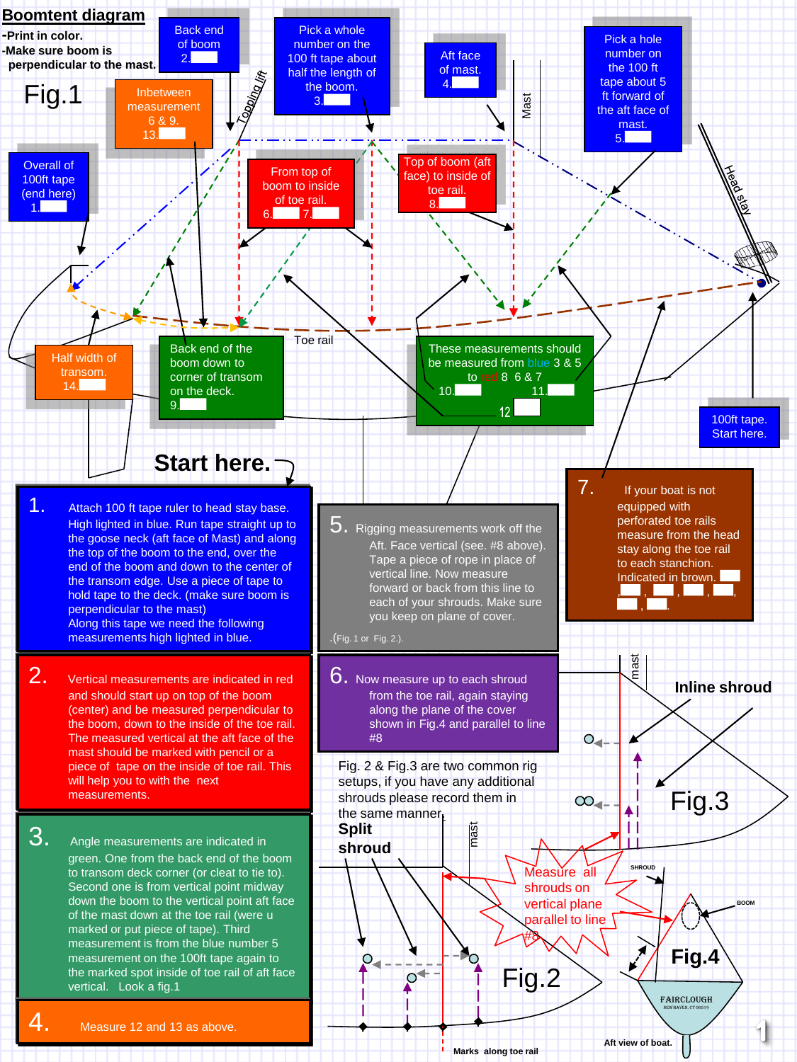